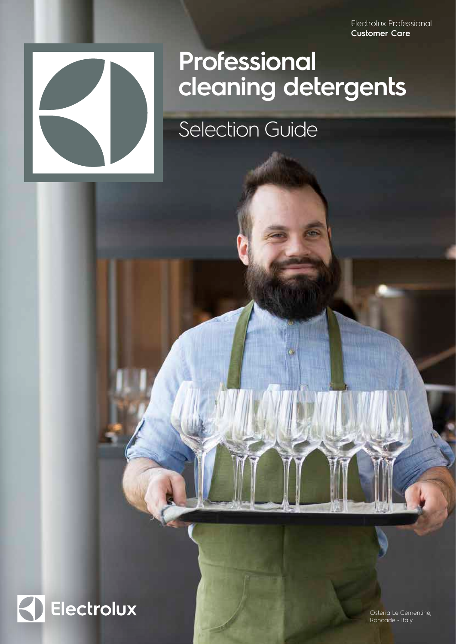Electrolux Professional **Customer Care**



## **Professional cleaning detergents**

Selection Guide



Osteria Le Cementine, Roncade - Italy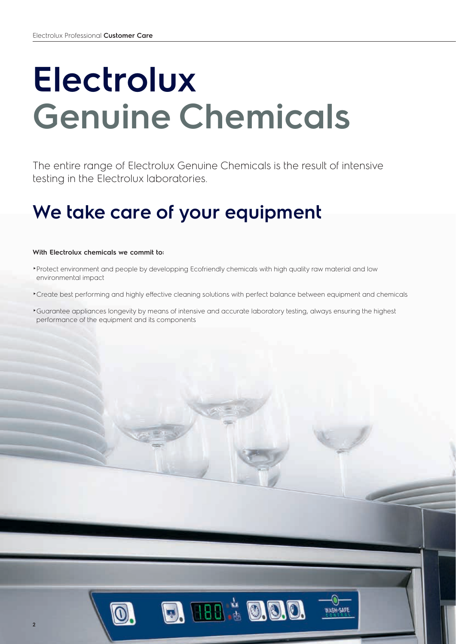# **Electrolux Genuine Chemicals**

The entire range of Electrolux Genuine Chemicals is the result of intensive testing in the Electrolux laboratories.

## **We take care of your equipment**

#### **With Electrolux chemicals we commit to:**

- ►Protect environment and people by developping Ecofriendly chemicals with high quality raw material and low environmental impact
- ►Create best performing and highly effective cleaning solutions with perfect balance between equipment and chemicals

**D. 188 & O.O.O.** 

►Guarantee appliances longevity by means of intensive and accurate laboratory testing, always ensuring the highest performance of the equipment and its components

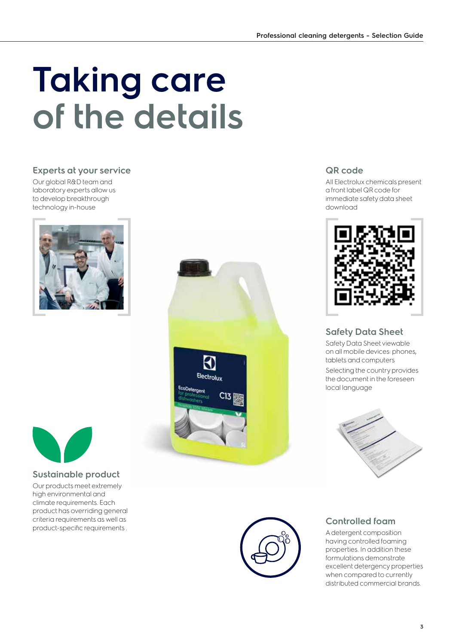# **Taking care of the details**

#### **Experts at your service**

Our global R&D team and laboratory experts allow us to develop breakthrough technology in-house





#### **Sustainable product**

Our products meet extremely high environmental and climate requirements. Each product has overriding general criteria requirements as well as product-specific requirements .



#### **QR code**

All Electrolux chemicals present a front label QR code for immediate safety data sheet download



#### **Safety Data Sheet**

Safety Data Sheet viewable on all mobile devices: phones, tablets and computers

Selecting the country provides the document in the foreseen local language



#### **Controlled foam**

A detergent composition having controlled foaming properties. In addition these formulations demonstrate excellent detergency properties when compared to currently distributed commercial brands.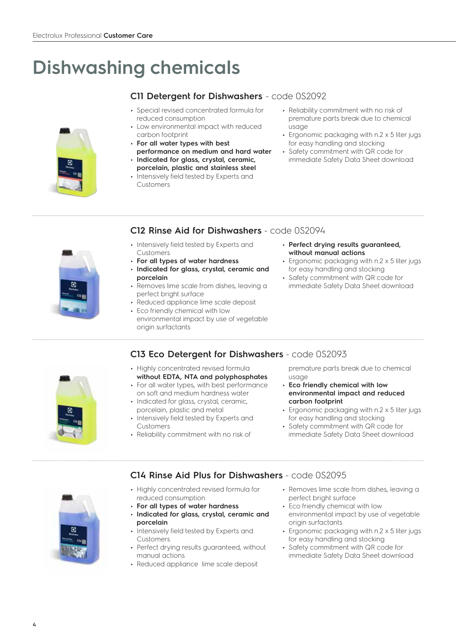### **Dishwashing chemicals**

#### ► Special revised concentrated formula for **C11 Detergent for Dishwashers** - code 0S2092

- reduced consumption Low environmental impact with reduced
- carbon footprint ► **For all water types with best**
- **performance on medium and hard water**
- ► **Indicated for glass, crystal, ceramic, porcelain, plastic and stainless steel**
- Intensively field tested by Experts and Customers
- ► Reliability commitment with no risk of premature parts break due to chemical usage
- ► Ergonomic packaging with n.2 x 5 liter jugs for easy handling and stocking
- ► Safety commitment with QR code for immediate Safety Data Sheet download

#### **C12 Rinse Aid for Dishwashers** - code 0S2094

- 
- ► Intensively field tested by Experts and Customers
- ► **For all types of water hardness**
- ► **Indicated for glass, crystal, ceramic and porcelain**
- ► Removes lime scale from dishes, leaving a perfect bright surface
- ► Reduced appliance lime scale deposit
- ► Eco friendly chemical with low environmental impact by use of vegetable origin surfactants
- ► **Perfect drying results guaranteed, without manual actions**
- ► Ergonomic packaging with n.2 x 5 liter jugs for easy handling and stocking
- ► Safety commitment with QR code for immediate Safety Data Sheet download



- ► Highly concentrated revised formula **C13 Eco Detergent for Dishwashers** - code 0S2093
- **without EDTA, NTA and polyphosphates** ► For all water types, with best performance
- on soft and medium hardness water ► Indicated for glass, crystal, ceramic,
- porcelain, plastic and metal
- Intensively field tested by Experts and Customers
- ► Reliability commitment with no risk of
- premature parts break due to chemical usage
- ► **Eco friendly chemical with low environmental impact and reduced carbon footprint**
- ► Ergonomic packaging with n.2 x 5 liter jugs for easy handling and stocking
- ► Safety commitment with QR code for immediate Safety Data Sheet download



- **C14 Rinse Aid Plus for Dishwashers** code 0S2095
- ► Highly concentrated revised formula for reduced consumption
- ► **For all types of water hardness**
- ► **Indicated for glass, crystal, ceramic and porcelain**
- ► Intensively field tested by Experts and Customers
- ► Perfect drying results guaranteed, without manual actions
- ► Reduced appliance lime scale deposit
- ► Removes lime scale from dishes, leaving a perfect bright surface
- ► Eco friendly chemical with low environmental impact by use of vegetable origin surfactants
- ► Ergonomic packaging with n.2 x 5 liter jugs for easy handling and stocking
- ► Safety commitment with QR code for immediate Safety Data Sheet download